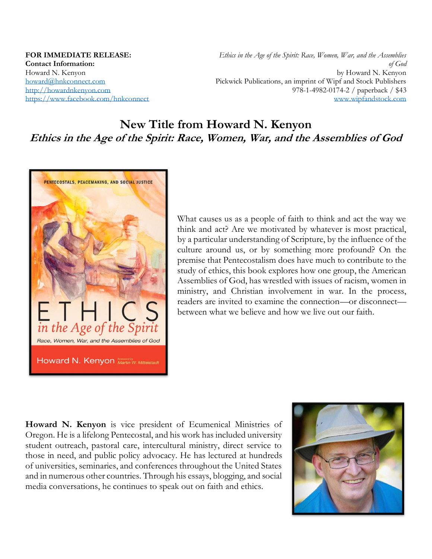**FOR IMMEDIATE RELEASE: Contact Information:**  Howard N. Kenyon howard@hnkconnect.com http://howardnkenyon.com https://www.facebook.com/hnkconnect

*Ethics in the Age of the Spirit: Race, Women, War, and the Assemblies of God* by Howard N. Kenyon Pickwick Publications, an imprint of Wipf and Stock Publishers 978-1-4982-0174-2 / paperback / \$43 www.wipfandstock.com

# **New Title from Howard N. Kenyon Ethics in the Age of the Spirit: Race, Women, War, and the Assemblies of God**



What causes us as a people of faith to think and act the way we think and act? Are we motivated by whatever is most practical, by a particular understanding of Scripture, by the influence of the culture around us, or by something more profound? On the premise that Pentecostalism does have much to contribute to the study of ethics, this book explores how one group, the American Assemblies of God, has wrestled with issues of racism, women in ministry, and Christian involvement in war. In the process, readers are invited to examine the connection—or disconnect between what we believe and how we live out our faith.

**Howard N. Kenyon** is vice president of Ecumenical Ministries of Oregon. He is a lifelong Pentecostal, and his work has included university student outreach, pastoral care, intercultural ministry, direct service to those in need, and public policy advocacy. He has lectured at hundreds of universities, seminaries, and conferences throughout the United States and in numerous other countries. Through his essays, blogging, and social media conversations, he continues to speak out on faith and ethics.

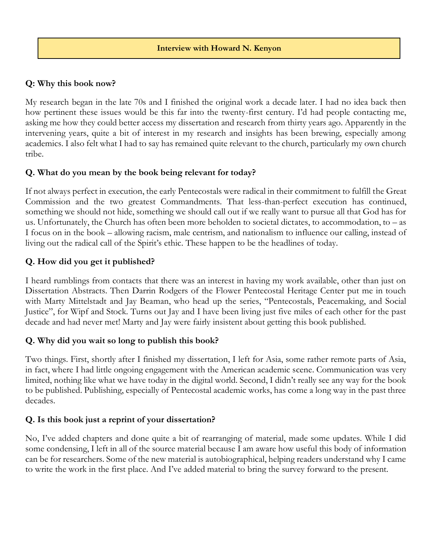## **Q: Why this book now?**

My research began in the late 70s and I finished the original work a decade later. I had no idea back then how pertinent these issues would be this far into the twenty-first century. I'd had people contacting me, asking me how they could better access my dissertation and research from thirty years ago. Apparently in the intervening years, quite a bit of interest in my research and insights has been brewing, especially among academics. I also felt what I had to say has remained quite relevant to the church, particularly my own church tribe.

### **Q. What do you mean by the book being relevant for today?**

If not always perfect in execution, the early Pentecostals were radical in their commitment to fulfill the Great Commission and the two greatest Commandments. That less-than-perfect execution has continued, something we should not hide, something we should call out if we really want to pursue all that God has for us. Unfortunately, the Church has often been more beholden to societal dictates, to accommodation, to – as I focus on in the book – allowing racism, male centrism, and nationalism to influence our calling, instead of living out the radical call of the Spirit's ethic. These happen to be the headlines of today.

## **Q. How did you get it published?**

I heard rumblings from contacts that there was an interest in having my work available, other than just on Dissertation Abstracts. Then Darrin Rodgers of the Flower Pentecostal Heritage Center put me in touch with Marty Mittelstadt and Jay Beaman, who head up the series, "Pentecostals, Peacemaking, and Social Justice", for Wipf and Stock. Turns out Jay and I have been living just five miles of each other for the past decade and had never met! Marty and Jay were fairly insistent about getting this book published.

### **Q. Why did you wait so long to publish this book?**

Two things. First, shortly after I finished my dissertation, I left for Asia, some rather remote parts of Asia, in fact, where I had little ongoing engagement with the American academic scene. Communication was very limited, nothing like what we have today in the digital world. Second, I didn't really see any way for the book to be published. Publishing, especially of Pentecostal academic works, has come a long way in the past three decades.

### **Q. Is this book just a reprint of your dissertation?**

No, I've added chapters and done quite a bit of rearranging of material, made some updates. While I did some condensing, I left in all of the source material because I am aware how useful this body of information can be for researchers. Some of the new material is autobiographical, helping readers understand why I came to write the work in the first place. And I've added material to bring the survey forward to the present.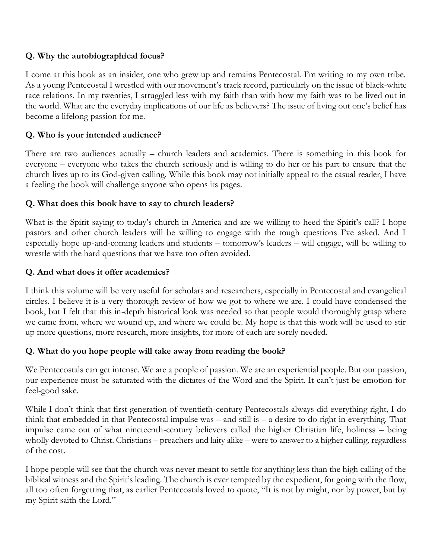## **Q. Why the autobiographical focus?**

I come at this book as an insider, one who grew up and remains Pentecostal. I'm writing to my own tribe. As a young Pentecostal I wrestled with our movement's track record, particularly on the issue of black-white race relations. In my twenties, I struggled less with my faith than with how my faith was to be lived out in the world. What are the everyday implications of our life as believers? The issue of living out one's belief has become a lifelong passion for me.

## **Q. Who is your intended audience?**

There are two audiences actually – church leaders and academics. There is something in this book for everyone – everyone who takes the church seriously and is willing to do her or his part to ensure that the church lives up to its God-given calling. While this book may not initially appeal to the casual reader, I have a feeling the book will challenge anyone who opens its pages.

### **Q. What does this book have to say to church leaders?**

What is the Spirit saying to today's church in America and are we willing to heed the Spirit's call? I hope pastors and other church leaders will be willing to engage with the tough questions I've asked. And I especially hope up-and-coming leaders and students – tomorrow's leaders – will engage, will be willing to wrestle with the hard questions that we have too often avoided.

## **Q. And what does it offer academics?**

I think this volume will be very useful for scholars and researchers, especially in Pentecostal and evangelical circles. I believe it is a very thorough review of how we got to where we are. I could have condensed the book, but I felt that this in-depth historical look was needed so that people would thoroughly grasp where we came from, where we wound up, and where we could be. My hope is that this work will be used to stir up more questions, more research, more insights, for more of each are sorely needed.

### **Q. What do you hope people will take away from reading the book?**

We Pentecostals can get intense. We are a people of passion. We are an experiential people. But our passion, our experience must be saturated with the dictates of the Word and the Spirit. It can't just be emotion for feel-good sake.

While I don't think that first generation of twentieth-century Pentecostals always did everything right, I do think that embedded in that Pentecostal impulse was – and still is – a desire to do right in everything. That impulse came out of what nineteenth-century believers called the higher Christian life, holiness – being wholly devoted to Christ. Christians – preachers and laity alike – were to answer to a higher calling, regardless of the cost.

I hope people will see that the church was never meant to settle for anything less than the high calling of the biblical witness and the Spirit's leading. The church is ever tempted by the expedient, for going with the flow, all too often forgetting that, as earlier Pentecostals loved to quote, "It is not by might, nor by power, but by my Spirit saith the Lord."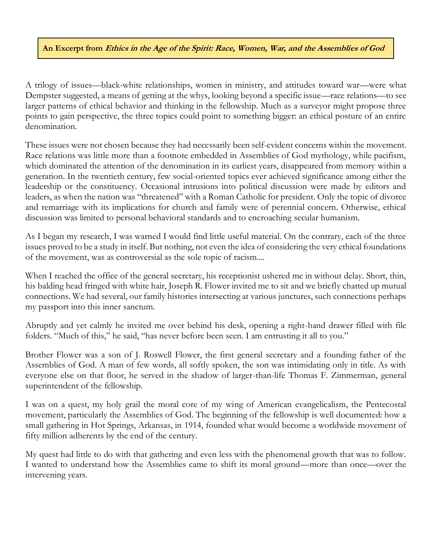#### **An Excerpt from Ethics in the Age of the Spirit: Race, Women, War, and the Assemblies of God**

A trilogy of issues—black-white relationships, women in ministry, and attitudes toward war—were what Dempster suggested, a means of getting at the whys, looking beyond a specific issue—race relations—to see larger patterns of ethical behavior and thinking in the fellowship. Much as a surveyor might propose three points to gain perspective, the three topics could point to something bigger: an ethical posture of an entire denomination.

These issues were not chosen because they had necessarily been self-evident concerns within the movement. Race relations was little more than a footnote embedded in Assemblies of God mythology, while pacifism, which dominated the attention of the denomination in its earliest years, disappeared from memory within a generation. In the twentieth century, few social-oriented topics ever achieved significance among either the leadership or the constituency. Occasional intrusions into political discussion were made by editors and leaders, as when the nation was "threatened" with a Roman Catholic for president. Only the topic of divorce and remarriage with its implications for church and family were of perennial concern. Otherwise, ethical discussion was limited to personal behavioral standards and to encroaching secular humanism.

As I began my research, I was warned I would find little useful material. On the contrary, each of the three issues proved to be a study in itself. But nothing, not even the idea of considering the very ethical foundations of the movement, was as controversial as the sole topic of racism....

When I reached the office of the general secretary, his receptionist ushered me in without delay. Short, thin, his balding head fringed with white hair, Joseph R. Flower invited me to sit and we briefly chatted up mutual connections. We had several, our family histories intersecting at various junctures, such connections perhaps my passport into this inner sanctum.

Abruptly and yet calmly he invited me over behind his desk, opening a right-hand drawer filled with file folders. "Much of this," he said, "has never before been seen. I am entrusting it all to you."

Brother Flower was a son of J. Roswell Flower, the first general secretary and a founding father of the Assemblies of God. A man of few words, all softly spoken, the son was intimidating only in title. As with everyone else on that floor, he served in the shadow of larger-than-life Thomas F. Zimmerman, general superintendent of the fellowship.

I was on a quest, my holy grail the moral core of my wing of American evangelicalism, the Pentecostal movement, particularly the Assemblies of God. The beginning of the fellowship is well documented: how a small gathering in Hot Springs, Arkansas, in 1914, founded what would become a worldwide movement of fifty million adherents by the end of the century.

My quest had little to do with that gathering and even less with the phenomenal growth that was to follow. I wanted to understand how the Assemblies came to shift its moral ground—more than once—over the intervening years.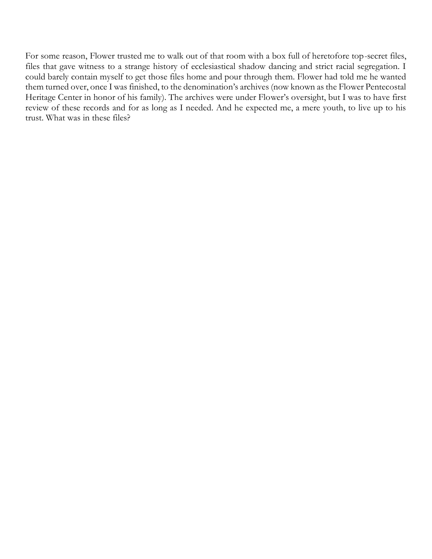For some reason, Flower trusted me to walk out of that room with a box full of heretofore top-secret files, files that gave witness to a strange history of ecclesiastical shadow dancing and strict racial segregation. I could barely contain myself to get those files home and pour through them. Flower had told me he wanted them turned over, once I was finished, to the denomination's archives (now known as the Flower Pentecostal Heritage Center in honor of his family). The archives were under Flower's oversight, but I was to have first review of these records and for as long as I needed. And he expected me, a mere youth, to live up to his trust. What was in these files?